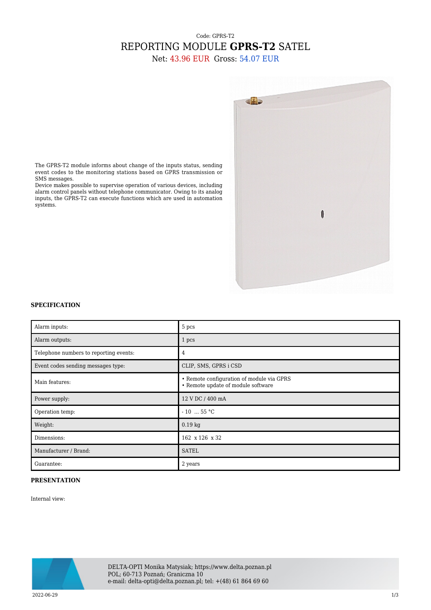## Code: GPRS-T2 REPORTING MODULE **GPRS-T2** SATEL

Net: 43.96 EUR Gross: 54.07 EUR



The GPRS-T2 module informs about change of the inputs status, sending event codes to the monitoring stations based on GPRS transmission or SMS messages.

Device makes possible to supervise operation of various devices, including alarm control panels without telephone communicator. Owing to its analog inputs, the GPRS-T2 can execute functions which are used in automation systems.

## **SPECIFICATION**

| Alarm inputs:                          | 5 pcs                                                                           |
|----------------------------------------|---------------------------------------------------------------------------------|
| Alarm outputs:                         | 1 pcs                                                                           |
| Telephone numbers to reporting events: | 4                                                                               |
| Event codes sending messages type:     | CLIP, SMS, GPRS i CSD                                                           |
| Main features:                         | • Remote configuration of module via GPRS<br>• Remote update of module software |
| Power supply:                          | 12 V DC / 400 mA                                                                |
| Operation temp:                        | $-10$ 55 °C                                                                     |
| Weight:                                | $0.19$ kg                                                                       |
| Dimensions:                            | 162 x 126 x 32                                                                  |
| Manufacturer / Brand:                  | <b>SATEL</b>                                                                    |
| Guarantee:                             | 2 years                                                                         |

## **PRESENTATION**

Internal view:



DELTA-OPTI Monika Matysiak; https://www.delta.poznan.pl POL; 60-713 Poznań; Graniczna 10 e-mail: delta-opti@delta.poznan.pl; tel: +(48) 61 864 69 60

2022-06-29 1/3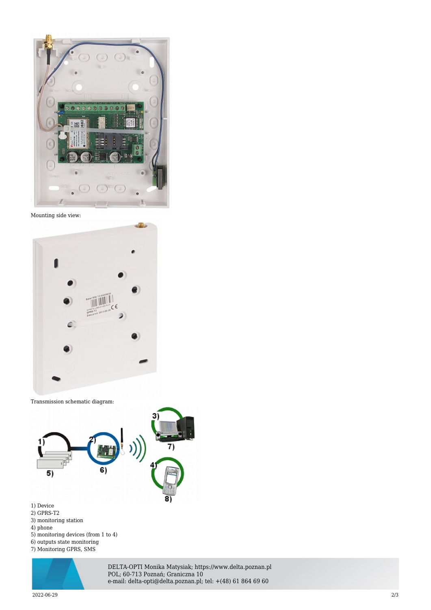

Mounting side view:



Transmission schematic diagram:



- 1) Device
- 2) GPRS-T2
- 3) monitoring station
- 4) phone
- 5) monitoring devices (from 1 to 4) 6) outputs state monitoring
- 7) Monitoring GPRS, SMS



DELTA-OPTI Monika Matysiak; https://www.delta.poznan.pl POL; 60-713 Poznań; Graniczna 10 e-mail: delta-opti@delta.poznan.pl; tel: +(48) 61 864 69 60